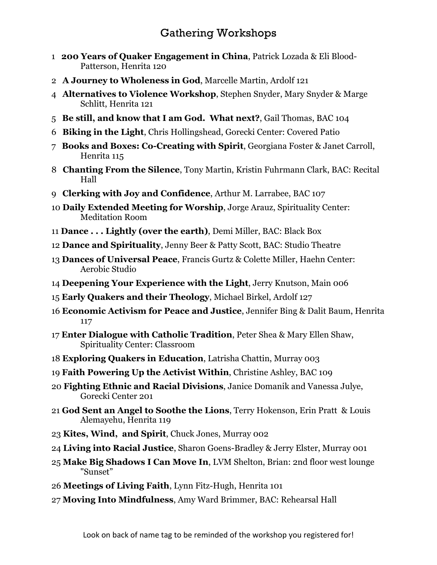## Gathering Workshops

- **200 Years of Quaker Engagement in China**, Patrick Lozada & Eli Blood-Patterson, Henrita 120
- **A Journey to Wholeness in God**, Marcelle Martin, Ardolf 121
- **Alternatives to Violence Workshop**, Stephen Snyder, Mary Snyder & Marge Schlitt, Henrita 121
- **Be still, and know that I am God. What next?**, Gail Thomas, BAC 104
- **Biking in the Light**, Chris Hollingshead, Gorecki Center: Covered Patio
- **Books and Boxes: Co-Creating with Spirit**, Georgiana Foster & Janet Carroll, Henrita 115
- **Chanting From the Silence**, Tony Martin, Kristin Fuhrmann Clark, BAC: Recital Hall
- **Clerking with Joy and Confidence**, Arthur M. Larrabee, BAC 107
- **Daily Extended Meeting for Worship**, Jorge Arauz, Spirituality Center: Meditation Room
- **Dance . . . Lightly (over the earth)**, Demi Miller, BAC: Black Box
- **Dance and Spirituality**, Jenny Beer & Patty Scott, BAC: Studio Theatre
- **Dances of Universal Peace**, Francis Gurtz & Colette Miller, Haehn Center: Aerobic Studio
- **Deepening Your Experience with the Light**, Jerry Knutson, Main 006
- **Early Quakers and their Theology**, Michael Birkel, Ardolf 127
- **Economic Activism for Peace and Justice**, Jennifer Bing & Dalit Baum, Henrita
- **Enter Dialogue with Catholic Tradition**, Peter Shea & Mary Ellen Shaw, Spirituality Center: Classroom
- **Exploring Quakers in Education**, Latrisha Chattin, Murray 003
- **Faith Powering Up the Activist Within**, Christine Ashley, BAC 109
- **Fighting Ethnic and Racial Divisions**, Janice Domanik and Vanessa Julye, Gorecki Center 201
- **God Sent an Angel to Soothe the Lions**, Terry Hokenson, Erin Pratt & Louis Alemayehu, Henrita 119
- **Kites, Wind, and Spirit**, Chuck Jones, Murray 002
- **Living into Racial Justice**, Sharon Goens-Bradley & Jerry Elster, Murray 001
- **Make Big Shadows I Can Move In**, LVM Shelton, Brian: 2nd floor west lounge "Sunset"
- **Meetings of Living Faith**, Lynn Fitz-Hugh, Henrita 101
- **Moving Into Mindfulness**, Amy Ward Brimmer, BAC: Rehearsal Hall